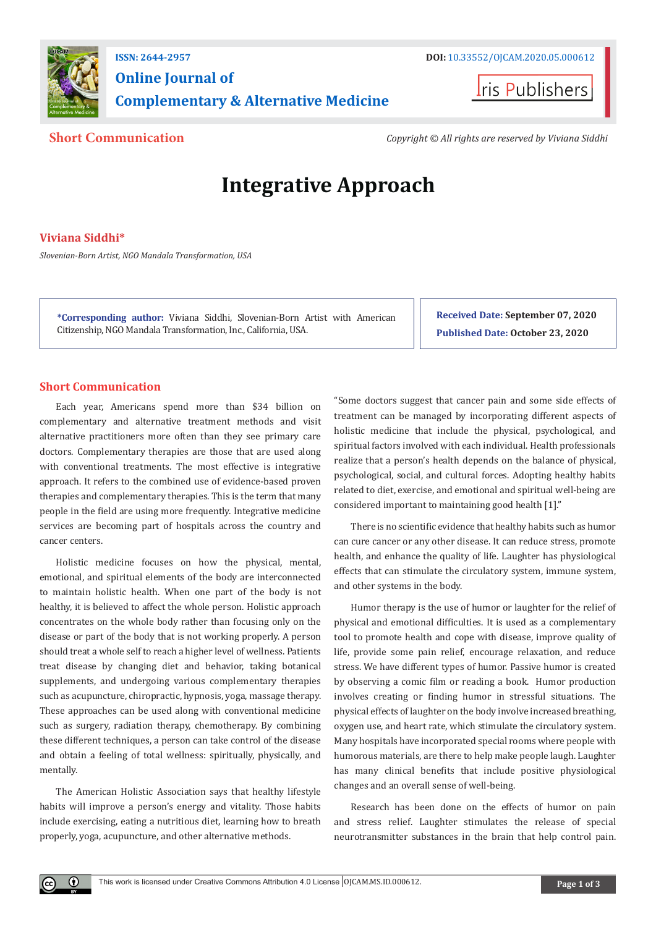



**Short Communication** *Copyright © All rights are reserved by Viviana Siddhi*

# **Integrative Approach**

# **Viviana Siddhi\***

*Slovenian-Born Artist, NGO Mandala Transformation, USA*

**\*Corresponding author:** Viviana Siddhi, Slovenian-Born Artist with American Citizenship, NGO Mandala Transformation, Inc., California, USA.

**Received Date: September 07, 2020 Published Date: October 23, 2020**

# **Short Communication**

Each year, Americans spend more than \$34 billion on complementary and alternative treatment methods and visit alternative practitioners more often than they see primary care doctors. Complementary therapies are those that are used along with conventional treatments. The most effective is integrative approach. It refers to the combined use of evidence-based proven therapies and complementary therapies. This is the term that many people in the field are using more frequently. Integrative medicine services are becoming part of hospitals across the country and cancer centers.

Holistic medicine focuses on how the physical, mental, emotional, and spiritual elements of the body are interconnected to maintain holistic health. When one part of the body is not healthy, it is believed to affect the whole person. Holistic approach concentrates on the whole body rather than focusing only on the disease or part of the body that is not working properly. A person should treat a whole self to reach a higher level of wellness. Patients treat disease by changing diet and behavior, taking botanical supplements, and undergoing various complementary therapies such as acupuncture, chiropractic, hypnosis, yoga, massage therapy. These approaches can be used along with conventional medicine such as surgery, radiation therapy, chemotherapy. By combining these different techniques, a person can take control of the disease and obtain a feeling of total wellness: spiritually, physically, and mentally.

The American Holistic Association says that healthy lifestyle habits will improve a person's energy and vitality. Those habits include exercising, eating a nutritious diet, learning how to breath properly, yoga, acupuncture, and other alternative methods.

 $\bf{0}$ 

"Some doctors suggest that cancer pain and some side effects of treatment can be managed by incorporating different aspects of holistic medicine that include the physical, psychological, and spiritual factors involved with each individual. Health professionals realize that a person's health depends on the balance of physical, psychological, social, and cultural forces. Adopting healthy habits related to diet, exercise, and emotional and spiritual well-being are considered important to maintaining good health [1]."

There is no scientific evidence that healthy habits such as humor can cure cancer or any other disease. It can reduce stress, promote health, and enhance the quality of life. Laughter has physiological effects that can stimulate the circulatory system, immune system, and other systems in the body.

Humor therapy is the use of humor or laughter for the relief of physical and emotional difficulties. It is used as a complementary tool to promote health and cope with disease, improve quality of life, provide some pain relief, encourage relaxation, and reduce stress. We have different types of humor. Passive humor is created by observing a comic film or reading a book. Humor production involves creating or finding humor in stressful situations. The physical effects of laughter on the body involve increased breathing, oxygen use, and heart rate, which stimulate the circulatory system. Many hospitals have incorporated special rooms where people with humorous materials, are there to help make people laugh. Laughter has many clinical benefits that include positive physiological changes and an overall sense of well-being.

Research has been done on the effects of humor on pain and stress relief. Laughter stimulates the release of special neurotransmitter substances in the brain that help control pain.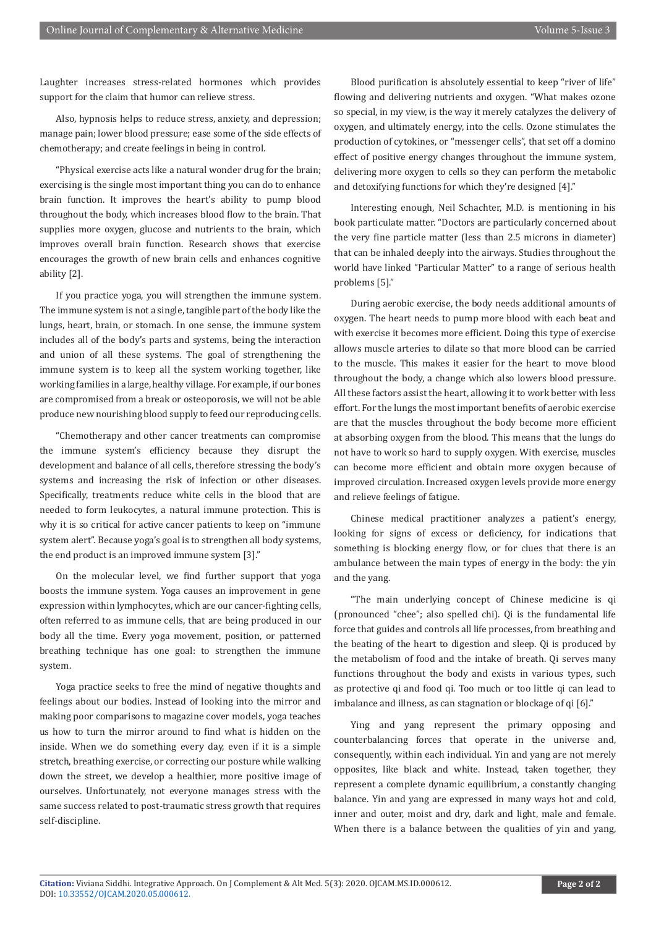Laughter increases stress-related hormones which provides support for the claim that humor can relieve stress.

Also, hypnosis helps to reduce stress, anxiety, and depression; manage pain; lower blood pressure; ease some of the side effects of chemotherapy; and create feelings in being in control.

"Physical exercise acts like a natural wonder drug for the brain; exercising is the single most important thing you can do to enhance brain function. It improves the heart's ability to pump blood throughout the body, which increases blood flow to the brain. That supplies more oxygen, glucose and nutrients to the brain, which improves overall brain function. Research shows that exercise encourages the growth of new brain cells and enhances cognitive ability [2].

If you practice yoga, you will strengthen the immune system. The immune system is not a single, tangible part of the body like the lungs, heart, brain, or stomach. In one sense, the immune system includes all of the body's parts and systems, being the interaction and union of all these systems. The goal of strengthening the immune system is to keep all the system working together, like working families in a large, healthy village. For example, if our bones are compromised from a break or osteoporosis, we will not be able produce new nourishing blood supply to feed our reproducing cells.

"Chemotherapy and other cancer treatments can compromise the immune system's efficiency because they disrupt the development and balance of all cells, therefore stressing the body's systems and increasing the risk of infection or other diseases. Specifically, treatments reduce white cells in the blood that are needed to form leukocytes, a natural immune protection. This is why it is so critical for active cancer patients to keep on "immune system alert". Because yoga's goal is to strengthen all body systems, the end product is an improved immune system [3]."

On the molecular level, we find further support that yoga boosts the immune system. Yoga causes an improvement in gene expression within lymphocytes, which are our cancer-fighting cells, often referred to as immune cells, that are being produced in our body all the time. Every yoga movement, position, or patterned breathing technique has one goal: to strengthen the immune system.

Yoga practice seeks to free the mind of negative thoughts and feelings about our bodies. Instead of looking into the mirror and making poor comparisons to magazine cover models, yoga teaches us how to turn the mirror around to find what is hidden on the inside. When we do something every day, even if it is a simple stretch, breathing exercise, or correcting our posture while walking down the street, we develop a healthier, more positive image of ourselves. Unfortunately, not everyone manages stress with the same success related to post-traumatic stress growth that requires self-discipline.

Blood purification is absolutely essential to keep "river of life" flowing and delivering nutrients and oxygen. "What makes ozone so special, in my view, is the way it merely catalyzes the delivery of oxygen, and ultimately energy, into the cells. Ozone stimulates the production of cytokines, or "messenger cells", that set off a domino effect of positive energy changes throughout the immune system, delivering more oxygen to cells so they can perform the metabolic and detoxifying functions for which they're designed [4]."

Interesting enough, Neil Schachter, M.D. is mentioning in his book particulate matter. "Doctors are particularly concerned about the very fine particle matter (less than 2.5 microns in diameter) that can be inhaled deeply into the airways. Studies throughout the world have linked "Particular Matter" to a range of serious health problems [5]."

During aerobic exercise, the body needs additional amounts of oxygen. The heart needs to pump more blood with each beat and with exercise it becomes more efficient. Doing this type of exercise allows muscle arteries to dilate so that more blood can be carried to the muscle. This makes it easier for the heart to move blood throughout the body, a change which also lowers blood pressure. All these factors assist the heart, allowing it to work better with less effort. For the lungs the most important benefits of aerobic exercise are that the muscles throughout the body become more efficient at absorbing oxygen from the blood. This means that the lungs do not have to work so hard to supply oxygen. With exercise, muscles can become more efficient and obtain more oxygen because of improved circulation. Increased oxygen levels provide more energy and relieve feelings of fatigue.

Chinese medical practitioner analyzes a patient's energy, looking for signs of excess or deficiency, for indications that something is blocking energy flow, or for clues that there is an ambulance between the main types of energy in the body: the yin and the yang.

"The main underlying concept of Chinese medicine is qi (pronounced "chee"; also spelled chi). Qi is the fundamental life force that guides and controls all life processes, from breathing and the beating of the heart to digestion and sleep. Qi is produced by the metabolism of food and the intake of breath. Qi serves many functions throughout the body and exists in various types, such as protective qi and food qi. Too much or too little qi can lead to imbalance and illness, as can stagnation or blockage of qi [6]."

Ying and yang represent the primary opposing and counterbalancing forces that operate in the universe and, consequently, within each individual. Yin and yang are not merely opposites, like black and white. Instead, taken together, they represent a complete dynamic equilibrium, a constantly changing balance. Yin and yang are expressed in many ways hot and cold, inner and outer, moist and dry, dark and light, male and female. When there is a balance between the qualities of vin and vang.